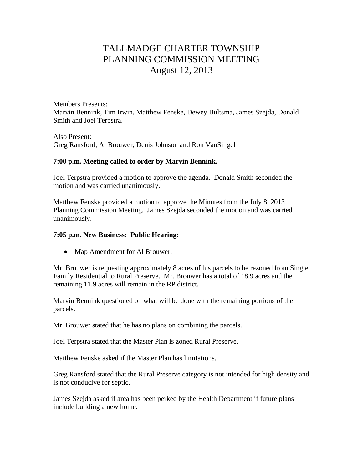# TALLMADGE CHARTER TOWNSHIP PLANNING COMMISSION MEETING August 12, 2013

Members Presents: Marvin Bennink, Tim Irwin, Matthew Fenske, Dewey Bultsma, James Szejda, Donald Smith and Joel Terpstra.

Also Present: Greg Ransford, Al Brouwer, Denis Johnson and Ron VanSingel

## **7:00 p.m. Meeting called to order by Marvin Bennink.**

Joel Terpstra provided a motion to approve the agenda. Donald Smith seconded the motion and was carried unanimously.

Matthew Fenske provided a motion to approve the Minutes from the July 8, 2013 Planning Commission Meeting. James Szejda seconded the motion and was carried unanimously.

## **7:05 p.m. New Business: Public Hearing:**

• Map Amendment for Al Brouwer.

Mr. Brouwer is requesting approximately 8 acres of his parcels to be rezoned from Single Family Residential to Rural Preserve. Mr. Brouwer has a total of 18.9 acres and the remaining 11.9 acres will remain in the RP district.

Marvin Bennink questioned on what will be done with the remaining portions of the parcels.

Mr. Brouwer stated that he has no plans on combining the parcels.

Joel Terpstra stated that the Master Plan is zoned Rural Preserve.

Matthew Fenske asked if the Master Plan has limitations.

Greg Ransford stated that the Rural Preserve category is not intended for high density and is not conducive for septic.

James Szejda asked if area has been perked by the Health Department if future plans include building a new home.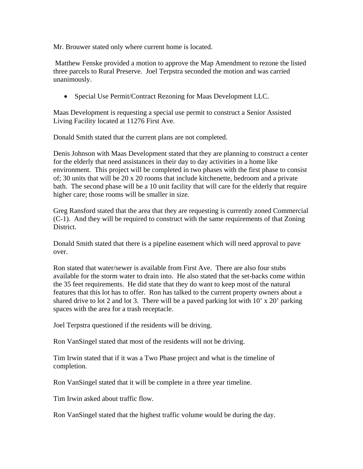Mr. Brouwer stated only where current home is located.

 Matthew Fenske provided a motion to approve the Map Amendment to rezone the listed three parcels to Rural Preserve. Joel Terpstra seconded the motion and was carried unanimously.

Special Use Permit/Contract Rezoning for Maas Development LLC.

Maas Development is requesting a special use permit to construct a Senior Assisted Living Facility located at 11276 First Ave.

Donald Smith stated that the current plans are not completed.

Denis Johnson with Maas Development stated that they are planning to construct a center for the elderly that need assistances in their day to day activities in a home like environment. This project will be completed in two phases with the first phase to consist of; 30 units that will be 20 x 20 rooms that include kitchenette, bedroom and a private bath. The second phase will be a 10 unit facility that will care for the elderly that require higher care; those rooms will be smaller in size.

Greg Ransford stated that the area that they are requesting is currently zoned Commercial (C-1). And they will be required to construct with the same requirements of that Zoning District.

Donald Smith stated that there is a pipeline easement which will need approval to pave over.

Ron stated that water/sewer is available from First Ave. There are also four stubs available for the storm water to drain into. He also stated that the set-backs come within the 35 feet requirements. He did state that they do want to keep most of the natural features that this lot has to offer. Ron has talked to the current property owners about a shared drive to lot 2 and lot 3. There will be a paved parking lot with 10' x 20' parking spaces with the area for a trash receptacle.

Joel Terpstra questioned if the residents will be driving.

Ron VanSingel stated that most of the residents will not be driving.

Tim Irwin stated that if it was a Two Phase project and what is the timeline of completion.

Ron VanSingel stated that it will be complete in a three year timeline.

Tim Irwin asked about traffic flow.

Ron VanSingel stated that the highest traffic volume would be during the day.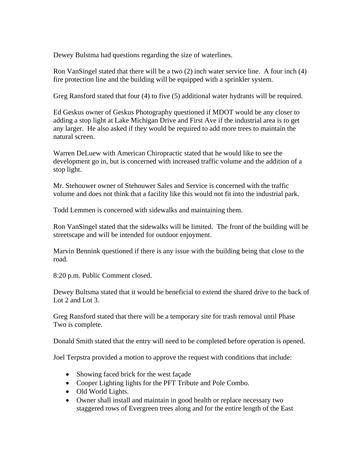Dewey Bulstma had questions regarding the size of waterlines.

Ron VanSingel stated that there will be a two (2) inch water service line. A four inch (4) fire protection line and the building will be equipped with a sprinkler system.

Greg Ransford stated that four (4) to five (5) additional water hydrants will be required.

Ed Geskus owner of Geskus Photography questioned if MDOT would be any closer to adding a stop light at Lake Michigan Drive and First Ave if the industrial area is to get any larger. He also asked if they would be required to add more trees to maintain the natural screen.

Warren DeLuew with American Chiropractic stated that he would like to see the development go in, but is concerned with increased traffic volume and the addition of a stop light.

Mr. Stehouwer owner of Stehouwer Sales and Service is concerned with the traffic volume and does not think that a facility like this would not fit into the industrial park.

Todd Lemmen is concerned with sidewalks and maintaining them.

Ron VanSingel stated that the sidewalks will be limited. The front of the building will be streetscape and will be intended for outdoor enjoyment.

Marvin Bennink questioned if there is any issue with the building being that close to the road.

8:20 p.m. Public Comment closed.

Dewey Bultsma stated that it would be beneficial to extend the shared drive to the back of Lot 2 and Lot 3.

Greg Ransford stated that there will be a temporary site for trash removal until Phase Two is complete.

Donald Smith stated that the entry will need to be completed before operation is opened.

Joel Terpstra provided a motion to approve the request with conditions that include:

- Showing faced brick for the west façade
- Cooper Lighting lights for the PFT Tribute and Pole Combo.
- Old World Lights.
- Owner shall install and maintain in good health or replace necessary two staggered rows of Evergreen trees along and for the entire length of the East